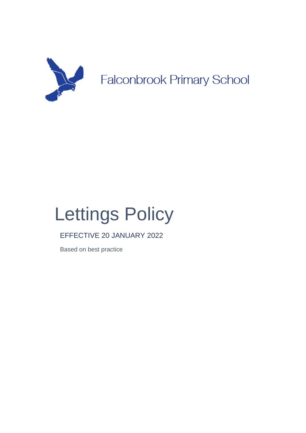

# Lettings Policy

# EFFECTIVE 20 JANUARY 2022

Based on best practice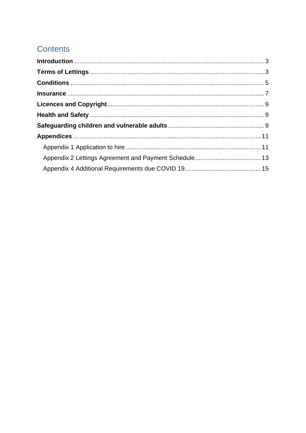# **Contents**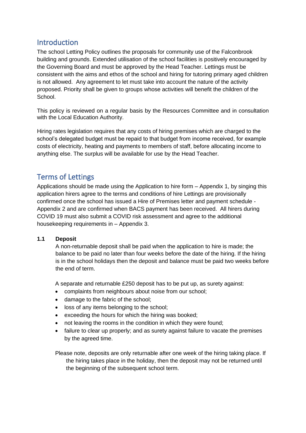# **Introduction**

The school Letting Policy outlines the proposals for community use of the Falconbrook building and grounds. Extended utilisation of the school facilities is positively encouraged by the Governing Board and must be approved by the Head Teacher. Lettings must be consistent with the aims and ethos of the school and hiring for tutoring primary aged children is not allowed. Any agreement to let must take into account the nature of the activity proposed. Priority shall be given to groups whose activities will benefit the children of the School.

This policy is reviewed on a regular basis by the Resources Committee and in consultation with the Local Education Authority.

Hiring rates legislation requires that any costs of hiring premises which are charged to the school's delegated budget must be repaid to that budget from income received, for example costs of electricity, heating and payments to members of staff, before allocating income to anything else. The surplus will be available for use by the Head Teacher.

# Terms of Lettings

Applications should be made using the Application to hire form – Appendix 1, by singing this application hirers agree to the terms and conditions of hire Lettings are provisionally confirmed once the school has issued a Hire of Premises letter and payment schedule - Appendix 2 and are confirmed when BACS payment has been received. All hirers during COVID 19 must also submit a COVID risk assessment and agree to the additional housekeeping requirements in – Appendix 3.

# **1.1 Deposit**

A non-returnable deposit shall be paid when the application to hire is made; the balance to be paid no later than four weeks before the date of the hiring. If the hiring is in the school holidays then the deposit and balance must be paid two weeks before the end of term.

A separate and returnable £250 deposit has to be put up, as surety against:

- complaints from neighbours about noise from our school;
- damage to the fabric of the school;
- loss of any items belonging to the school;
- exceeding the hours for which the hiring was booked;
- not leaving the rooms in the condition in which they were found;
- failure to clear up properly; and as surety against failure to vacate the premises by the agreed time.

Please note, deposits are only returnable after one week of the hiring taking place. If the hiring takes place in the holiday, then the deposit may not be returned until the beginning of the subsequent school term.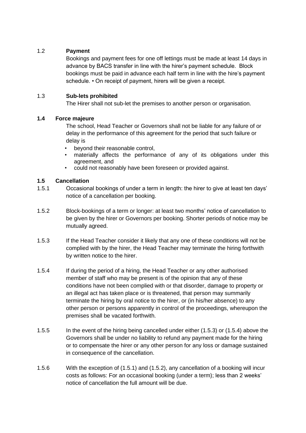# 1.2 **Payment**

Bookings and payment fees for one off lettings must be made at least 14 days in advance by BACS transfer in line with the hirer's payment schedule. Block bookings must be paid in advance each half term in line with the hire's payment schedule. • On receipt of payment, hirers will be given a receipt.

# 1.3 **Sub-lets prohibited**

The Hirer shall not sub-let the premises to another person or organisation.

# **1.4 Force majeure**

The school, Head Teacher or Governors shall not be liable for any failure of or delay in the performance of this agreement for the period that such failure or delay is

- beyond their reasonable control,
- materially affects the performance of any of its obligations under this agreement, and
- could not reasonably have been foreseen or provided against.

# **1.5 Cancellation**

- 1.5.1 Occasional bookings of under a term in length: the hirer to give at least ten days' notice of a cancellation per booking.
- 1.5.2 Block-bookings of a term or longer: at least two months' notice of cancellation to be given by the hirer or Governors per booking. Shorter periods of notice may be mutually agreed.
- 1.5.3 If the Head Teacher consider it likely that any one of these conditions will not be complied with by the hirer, the Head Teacher may terminate the hiring forthwith by written notice to the hirer.
- 1.5.4 If during the period of a hiring, the Head Teacher or any other authorised member of staff who may be present is of the opinion that any of these conditions have not been complied with or that disorder, damage to property or an illegal act has taken place or is threatened, that person may summarily terminate the hiring by oral notice to the hirer, or (in his/her absence) to any other person or persons apparently in control of the proceedings, whereupon the premises shall be vacated forthwith.
- 1.5.5 In the event of the hiring being cancelled under either (1.5.3) or (1.5.4) above the Governors shall be under no liability to refund any payment made for the hiring or to compensate the hirer or any other person for any loss or damage sustained in consequence of the cancellation.
- 1.5.6 With the exception of (1.5.1) and (1.5.2), any cancellation of a booking will incur costs as follows: For an occasional booking (under a term); less than 2 weeks' notice of cancellation the full amount will be due.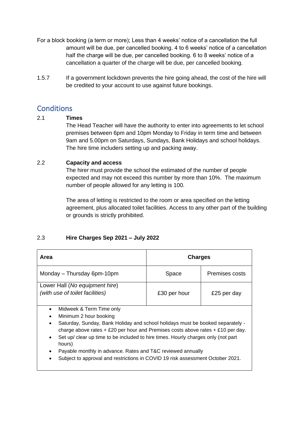- For a block booking (a term or more); Less than 4 weeks' notice of a cancellation the full amount will be due, per cancelled booking. 4 to 6 weeks' notice of a cancellation half the charge will be due, per cancelled booking. 6 to 8 weeks' notice of a cancellation a quarter of the charge will be due, per cancelled booking.
- 1.5.7 If a government lockdown prevents the hire going ahead, the cost of the hire will be credited to your account to use against future bookings.

# **Conditions**

# 2.1 **Times**

The Head Teacher will have the authority to enter into agreements to let school premises between 6pm and 10pm Monday to Friday in term time and between 9am and 5.00pm on Saturdays, Sundays, Bank Holidays and school holidays. The hire time includers setting up and packing away.

# 2.2 **Capacity and access**

The hirer must provide the school the estimated of the number of people expected and may not exceed this number by more than 10%. The maximum number of people allowed for any letting is 100.

The area of letting is restricted to the room or area specified on the letting agreement, plus allocated toilet facilities. Access to any other part of the building or grounds is strictly prohibited.

# 2.3 **Hire Charges Sep 2021 – July 2022**

| Area                                                                                           | <b>Charges</b>                                                                 |                |  |
|------------------------------------------------------------------------------------------------|--------------------------------------------------------------------------------|----------------|--|
| Monday - Thursday 6pm-10pm                                                                     | Space                                                                          | Premises costs |  |
| Lower Hall (No equipment hire)                                                                 |                                                                                |                |  |
| (with use of toilet facilities)                                                                | £30 per hour                                                                   | £25 per day    |  |
|                                                                                                |                                                                                |                |  |
| Midweek & Term Time only<br>$\bullet$                                                          |                                                                                |                |  |
| Minimum 2 hour booking<br>$\bullet$                                                            |                                                                                |                |  |
| Saturday, Sunday, Bank Holiday and school holidays must be booked separately -<br>$\bullet$    |                                                                                |                |  |
| charge above rates + £20 per hour and Premises costs above rates + £10 per day.                |                                                                                |                |  |
| Set up/ clear up time to be included to hire times. Hourly charges only (not part<br>$\bullet$ |                                                                                |                |  |
| hours)                                                                                         |                                                                                |                |  |
| Payable monthly in advance. Rates and T&C reviewed annually<br>$\bullet$                       |                                                                                |                |  |
|                                                                                                | Subject to approval and restrictions in COVID 19 risk assessment October 2021. |                |  |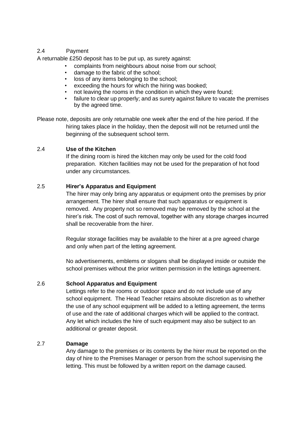# 2.4 Payment

A returnable £250 deposit has to be put up, as surety against:

- complaints from neighbours about noise from our school;
- damage to the fabric of the school;
- loss of any items belonging to the school;
- exceeding the hours for which the hiring was booked;
- not leaving the rooms in the condition in which they were found;
- failure to clear up properly; and as surety against failure to vacate the premises by the agreed time.

Please note, deposits are only returnable one week after the end of the hire period. If the hiring takes place in the holiday, then the deposit will not be returned until the beginning of the subsequent school term.

# 2.4 **Use of the Kitchen**

If the dining room is hired the kitchen may only be used for the cold food preparation. Kitchen facilities may not be used for the preparation of hot food under any circumstances.

# 2.5 **Hirer's Apparatus and Equipment**

The hirer may only bring any apparatus or equipment onto the premises by prior arrangement. The hirer shall ensure that such apparatus or equipment is removed. Any property not so removed may be removed by the school at the hirer's risk. The cost of such removal, together with any storage charges incurred shall be recoverable from the hirer.

Regular storage facilities may be available to the hirer at a pre agreed charge and only when part of the letting agreement.

No advertisements, emblems or slogans shall be displayed inside or outside the school premises without the prior written permission in the lettings agreement.

# 2.6 **School Apparatus and Equipment**

Lettings refer to the rooms or outdoor space and do not include use of any school equipment. The Head Teacher retains absolute discretion as to whether the use of any school equipment will be added to a letting agreement, the terms of use and the rate of additional charges which will be applied to the contract. Any let which includes the hire of such equipment may also be subject to an additional or greater deposit.

# 2.7 **Damage**

Any damage to the premises or its contents by the hirer must be reported on the day of hire to the Premises Manager or person from the school supervising the letting. This must be followed by a written report on the damage caused.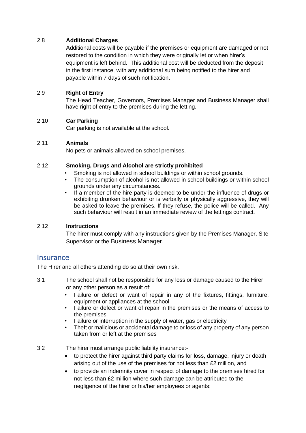# 2.8 **Additional Charges**

Additional costs will be payable if the premises or equipment are damaged or not restored to the condition in which they were originally let or when hirer's equipment is left behind. This additional cost will be deducted from the deposit in the first instance, with any additional sum being notified to the hirer and payable within 7 days of such notification.

# 2.9 **Right of Entry**

The Head Teacher, Governors, Premises Manager and Business Manager shall have right of entry to the premises during the letting.

# 2.10 **Car Parking**

Car parking is not available at the school.

# 2.11 **Animals**

No pets or animals allowed on school premises.

# 2.12 **Smoking, Drugs and Alcohol are strictly prohibited**

- Smoking is not allowed in school buildings or within school grounds.
- The consumption of alcohol is not allowed in school buildings or within school grounds under any circumstances.
- If a member of the hire party is deemed to be under the influence of drugs or exhibiting drunken behaviour or is verbally or physically aggressive, they will be asked to leave the premises. If they refuse, the police will be called. Any such behaviour will result in an immediate review of the lettings contract.

# 2.12 **Instructions**

The hirer must comply with any instructions given by the Premises Manager, Site Supervisor or the Business Manager.

# **Insurance**

The Hirer and all others attending do so at their own risk.

- 3.1 The school shall not be responsible for any loss or damage caused to the Hirer or any other person as a result of:
	- Failure or defect or want of repair in any of the fixtures, fittings, furniture, equipment or appliances at the school
	- Failure or defect or want of repair in the premises or the means of access to the premises
	- Failure or interruption in the supply of water, gas or electricity
	- Theft or malicious or accidental damage to or loss of any property of any person taken from or left at the premises
- 3.2 The hirer must arrange public liability insurance:-
	- to protect the hirer against third party claims for loss, damage, injury or death arising out of the use of the premises for not less than £2 million, and
	- to provide an indemnity cover in respect of damage to the premises hired for not less than £2 million where such damage can be attributed to the negligence of the hirer or his/her employees or agents;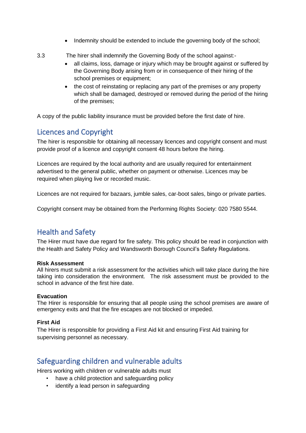- Indemnity should be extended to include the governing body of the school;
- 3.3 The hirer shall indemnify the Governing Body of the school against:-
	- all claims, loss, damage or injury which may be brought against or suffered by the Governing Body arising from or in consequence of their hiring of the school premises or equipment;
	- the cost of reinstating or replacing any part of the premises or any property which shall be damaged, destroyed or removed during the period of the hiring of the premises;

A copy of the public liability insurance must be provided before the first date of hire.

# Licences and Copyright

The hirer is responsible for obtaining all necessary licences and copyright consent and must provide proof of a licence and copyright consent 48 hours before the hiring.

Licences are required by the local authority and are usually required for entertainment advertised to the general public, whether on payment or otherwise. Licences may be required when playing live or recorded music.

Licences are not required for bazaars, jumble sales, car-boot sales, bingo or private parties.

Copyright consent may be obtained from the Performing Rights Society: 020 7580 5544.

# Health and Safety

The Hirer must have due regard for fire safety. This policy should be read in conjunction with the Health and Safety Policy and Wandsworth Borough Council's Safety Regulations.

# **Risk Assessment**

All hirers must submit a risk assessment for the activities which will take place during the hire taking into consideration the environment. The risk assessment must be provided to the school in advance of the first hire date.

# **Evacuation**

The Hirer is responsible for ensuring that all people using the school premises are aware of emergency exits and that the fire escapes are not blocked or impeded.

# **First Aid**

The Hirer is responsible for providing a First Aid kit and ensuring First Aid training for supervising personnel as necessary.

# Safeguarding children and vulnerable adults

Hirers working with children or vulnerable adults must

- have a child protection and safeguarding policy
- identify a lead person in safeguarding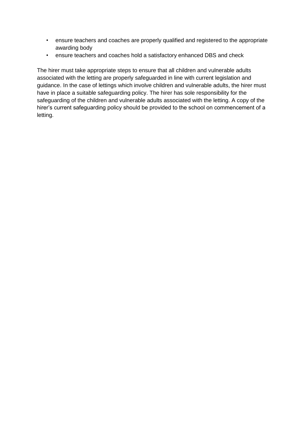- ensure teachers and coaches are properly qualified and registered to the appropriate awarding body
- ensure teachers and coaches hold a satisfactory enhanced DBS and check

The hirer must take appropriate steps to ensure that all children and vulnerable adults associated with the letting are properly safeguarded in line with current legislation and guidance. In the case of lettings which involve children and vulnerable adults, the hirer must have in place a suitable safeguarding policy. The hirer has sole responsibility for the safeguarding of the children and vulnerable adults associated with the letting. A copy of the hirer's current safeguarding policy should be provided to the school on commencement of a letting.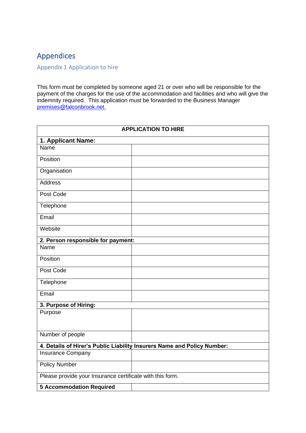# Appendices

Appendix 1 Application to hire

This form must be completed by someone aged 21 or over who will be responsible for the payment of the charges for the use of the accommodation and facilities and who will give the indemnity required. This application must be forwarded to the Business Manager [premises@falconbrook.net.](mailto:premises@falconbrook.net)

| <b>APPLICATION TO HIRE</b>                                |                                                                         |
|-----------------------------------------------------------|-------------------------------------------------------------------------|
| 1. Applicant Name:                                        |                                                                         |
| Name                                                      |                                                                         |
| Position                                                  |                                                                         |
| Organisation                                              |                                                                         |
| <b>Address</b>                                            |                                                                         |
| Post Code                                                 |                                                                         |
| Telephone                                                 |                                                                         |
| Email                                                     |                                                                         |
| Website                                                   |                                                                         |
| 2. Person responsible for payment:                        |                                                                         |
| Name                                                      |                                                                         |
| Position                                                  |                                                                         |
| Post Code                                                 |                                                                         |
| Telephone                                                 |                                                                         |
| Email                                                     |                                                                         |
| 3. Purpose of Hiring:                                     |                                                                         |
| Purpose                                                   |                                                                         |
| Number of people                                          |                                                                         |
|                                                           | 4. Details of Hirer's Public Liability Insurers Name and Policy Number: |
| Insurance Company                                         |                                                                         |
| <b>Policy Number</b>                                      |                                                                         |
| Please provide your Insurance certificate with this form. |                                                                         |
| <b>5 Accommodation Required</b>                           |                                                                         |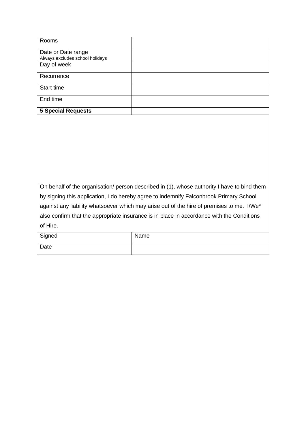| Rooms                                                 |  |
|-------------------------------------------------------|--|
| Date or Date range<br>Always excludes school holidays |  |
| Day of week                                           |  |
| Recurrence                                            |  |
| Start time                                            |  |
| End time                                              |  |
| <b>5 Special Requests</b>                             |  |

| On behalf of the organisation/ person described in (1), whose authority I have to bind them |
|---------------------------------------------------------------------------------------------|
| by signing this application, I do hereby agree to indemnify Falconbrook Primary School      |
| against any liability whatsoever which may arise out of the hire of premises to me. I/We*   |
| also confirm that the appropriate insurance is in place in accordance with the Conditions   |
| of Hire.                                                                                    |

| Signed | Name |
|--------|------|
| Date   |      |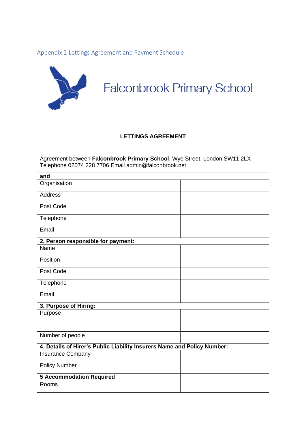Appendix 2 Lettings Agreement and Payment Schedule



# **Falconbrook Primary School**

# **LETTINGS AGREEMENT**

Agreement between **Falconbrook Primary School**, Wye Street, London SW11 2LX Telephone 02074 228 7706 Email admin@falconbrook.net

| and                                                                     |  |  |
|-------------------------------------------------------------------------|--|--|
| Organisation                                                            |  |  |
| <b>Address</b>                                                          |  |  |
| Post Code                                                               |  |  |
| Telephone                                                               |  |  |
| Email                                                                   |  |  |
| 2. Person responsible for payment:                                      |  |  |
| Name                                                                    |  |  |
| Position                                                                |  |  |
| Post Code                                                               |  |  |
| Telephone                                                               |  |  |
| Email                                                                   |  |  |
| 3. Purpose of Hiring:                                                   |  |  |
| Purpose                                                                 |  |  |
| Number of people                                                        |  |  |
| 4. Details of Hirer's Public Liability Insurers Name and Policy Number: |  |  |
| <b>Insurance Company</b>                                                |  |  |
| <b>Policy Number</b>                                                    |  |  |
| <b>5 Accommodation Required</b>                                         |  |  |
| Rooms                                                                   |  |  |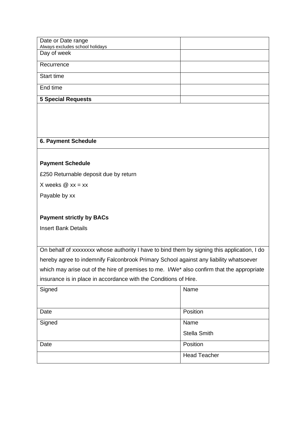| Date or Date range              |  |
|---------------------------------|--|
| Always excludes school holidays |  |
| Day of week                     |  |
| Recurrence                      |  |
| Start time                      |  |
| End time                        |  |
| <b>5 Special Requests</b>       |  |

# **6. Payment Schedule**

# **Payment Schedule**

£250 Returnable deposit due by return

X weeks  $@$  xx = xx

Payable by xx

# **Payment strictly by BACs**

Insert Bank Details

On behalf of xxxxxxxx whose authority I have to bind them by signing this application, I do hereby agree to indemnify Falconbrook Primary School against any liability whatsoever which may arise out of the hire of premises to me. I/We\* also confirm that the appropriate insurance is in place in accordance with the Conditions of Hire.

| Signed | Name                |
|--------|---------------------|
| Date   | Position            |
| Signed | Name                |
|        | <b>Stella Smith</b> |
| Date   | Position            |
|        | <b>Head Teacher</b> |